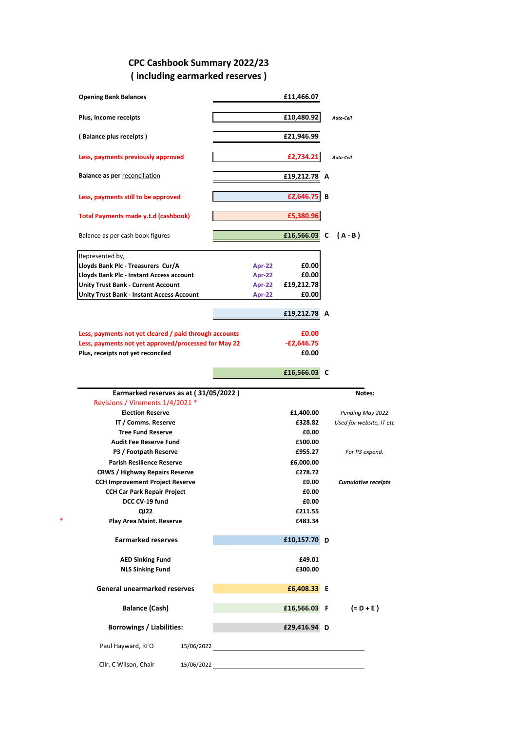## **CPC Cashbook Summary 2022/23 ( including earmarked reserves )**

| <b>Opening Bank Balances</b>                                              |            |               | £11,466.07        |   |                            |
|---------------------------------------------------------------------------|------------|---------------|-------------------|---|----------------------------|
| Plus, Income receipts                                                     |            |               | £10,480.92        |   | Auto-Cell                  |
| (Balance plus receipts)                                                   |            |               | £21,946.99        |   |                            |
| Less, payments previously approved                                        |            |               | £2,734.21         |   | Auto-Cell                  |
| <b>Balance as per reconciliation</b>                                      |            |               | £19,212,78        | A |                            |
| Less, payments still to be approved                                       |            |               | £2,646.75         | В |                            |
| Total Payments made y.t.d (cashbook)                                      |            |               | £5,380.96         |   |                            |
| Balance as per cash book figures                                          |            |               | £16,566.03        | C | (A-B)                      |
| Represented by,                                                           |            |               |                   |   |                            |
| Lloyds Bank Plc - Treasurers Cur/A                                        |            | <b>Apr-22</b> | £0.00             |   |                            |
| Lloyds Bank Plc - Instant Access account                                  |            | <b>Apr-22</b> | £0.00             |   |                            |
| <b>Unity Trust Bank - Current Account</b>                                 |            | Apr-22        | £19,212.78        |   |                            |
| Unity Trust Bank - Instant Access Account                                 |            | Apr-22        | £0.00             |   |                            |
|                                                                           |            |               |                   |   |                            |
|                                                                           |            |               | £19,212.78 A      |   |                            |
| Less, payments not yet cleared / paid through accounts                    |            |               | £0.00             |   |                            |
|                                                                           |            |               |                   |   |                            |
| Less, payments not yet approved/processed for May 22                      |            |               | $-E2,646.75$      |   |                            |
| Plus, receipts not yet reconciled                                         |            |               | £0.00             |   |                            |
|                                                                           |            |               | £16,566.03        | C |                            |
|                                                                           |            |               |                   |   |                            |
|                                                                           |            |               |                   |   |                            |
| Earmarked reserves as at (31/05/2022)<br>Revisions / Virements 1/4/2021 * |            |               |                   |   | Notes:                     |
| <b>Election Reserve</b>                                                   |            |               | £1,400.00         |   | Pending May 2022           |
| IT / Comms. Reserve                                                       |            |               | £328.82           |   | Used for website, IT etc   |
| <b>Tree Fund Reserve</b>                                                  |            |               | £0.00             |   |                            |
| <b>Audit Fee Reserve Fund</b>                                             |            |               | £500.00           |   |                            |
|                                                                           |            |               | £955.27           |   |                            |
| P3 / Footpath Reserve                                                     |            |               |                   |   | For P3 expend.             |
| <b>Parish Resilience Reserve</b>                                          |            |               | £6,000.00         |   |                            |
| <b>CRWS / Highway Repairs Reserve</b>                                     |            |               | £278.72           |   |                            |
| <b>CCH Improvement Project Reserve</b>                                    |            |               | £0.00             |   | <b>Cumulative receipts</b> |
| <b>CCH Car Park Repair Project</b>                                        |            |               | £0.00             |   |                            |
| DCC CV-19 fund                                                            |            |               | £0.00             |   |                            |
| QJ22                                                                      |            |               | £211.55           |   |                            |
| Play Area Maint. Reserve                                                  |            |               | £483.34           |   |                            |
| <b>Earmarked reserves</b>                                                 |            |               | £10,157.70 D      |   |                            |
|                                                                           |            |               |                   |   |                            |
| <b>AED Sinking Fund</b><br><b>NLS Sinking Fund</b>                        |            |               | £49.01<br>£300.00 |   |                            |
| <b>General unearmarked reserves</b>                                       |            |               | £6,408.33 E       |   |                            |
|                                                                           |            |               |                   |   |                            |
| <b>Balance (Cash)</b>                                                     |            |               | £16,566.03 F      |   | $(= D + E)$                |
| <b>Borrowings / Liabilities:</b>                                          |            |               | £29,416.94 D      |   |                            |
| Paul Hayward, RFO                                                         | 15/06/2022 |               |                   |   |                            |

\*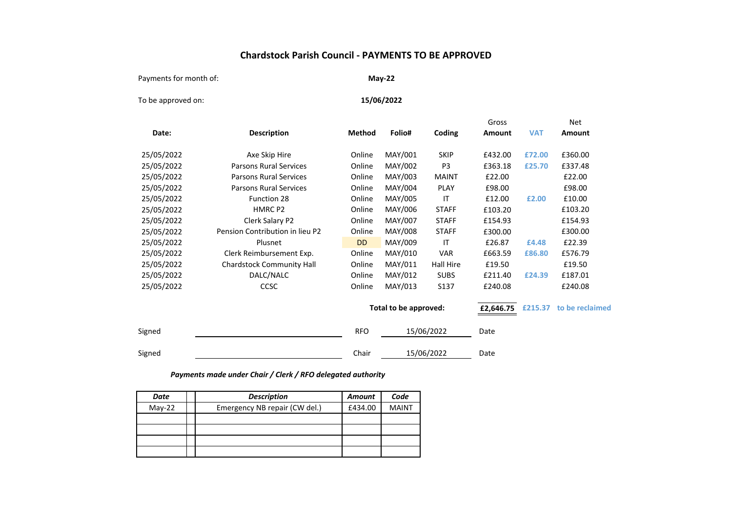### **Chardstock Parish Council - PAYMENTS TO BE APPROVED**

Payments for month of:

**May-22**

To be approved on:

**15/06/2022**

|            |                                  |               |                       |                | Gross     |            | Net             |
|------------|----------------------------------|---------------|-----------------------|----------------|-----------|------------|-----------------|
| Date:      | <b>Description</b>               | <b>Method</b> | Folio#                | Coding         | Amount    | <b>VAT</b> | Amount          |
| 25/05/2022 | Axe Skip Hire                    | Online        | MAY/001               | <b>SKIP</b>    | £432.00   | £72.00     | £360.00         |
| 25/05/2022 | <b>Parsons Rural Services</b>    | Online        | MAY/002               | P <sub>3</sub> | £363.18   | £25.70     | £337.48         |
| 25/05/2022 | Parsons Rural Services           | Online        | MAY/003               | <b>MAINT</b>   | £22.00    |            | £22.00          |
| 25/05/2022 | <b>Parsons Rural Services</b>    | Online        | MAY/004               | PLAY           | £98.00    |            | £98.00          |
| 25/05/2022 | Function 28                      | Online        | MAY/005               | IT             | £12.00    | £2.00      | £10.00          |
| 25/05/2022 | HMRC P2                          | Online        | MAY/006               | <b>STAFF</b>   | £103.20   |            | £103.20         |
| 25/05/2022 | Clerk Salary P2                  | Online        | MAY/007               | <b>STAFF</b>   | £154.93   |            | £154.93         |
| 25/05/2022 | Pension Contribution in lieu P2  | Online        | MAY/008               | <b>STAFF</b>   | £300.00   |            | £300.00         |
| 25/05/2022 | Plusnet                          | <b>DD</b>     | MAY/009               | IT             | £26.87    | £4.48      | £22.39          |
| 25/05/2022 | Clerk Reimbursement Exp.         | Online        | MAY/010               | <b>VAR</b>     | £663.59   | £86.80     | £576.79         |
| 25/05/2022 | <b>Chardstock Community Hall</b> | Online        | MAY/011               | Hall Hire      | £19.50    |            | £19.50          |
| 25/05/2022 | DALC/NALC                        | Online        | MAY/012               | <b>SUBS</b>    | £211.40   | £24.39     | £187.01         |
| 25/05/2022 | <b>CCSC</b>                      | Online        | MAY/013               | S137           | £240.08   |            | £240.08         |
|            |                                  |               | Total to be approved: |                | £2,646.75 | £215.37    | to be reclaimed |
| Signed     |                                  | <b>RFO</b>    |                       | 15/06/2022     | Date      |            |                 |
| Signed     |                                  | Chair         |                       | 15/06/2022     | Date      |            |                 |

#### *Payments made under Chair / Clerk / RFO delegated authority*

| Date     | <b>Description</b>            | <b>Amount</b> | Code         |
|----------|-------------------------------|---------------|--------------|
| $May-22$ | Emergency NB repair (CW del.) | £434.00       | <b>MAINT</b> |
|          |                               |               |              |
|          |                               |               |              |
|          |                               |               |              |
|          |                               |               |              |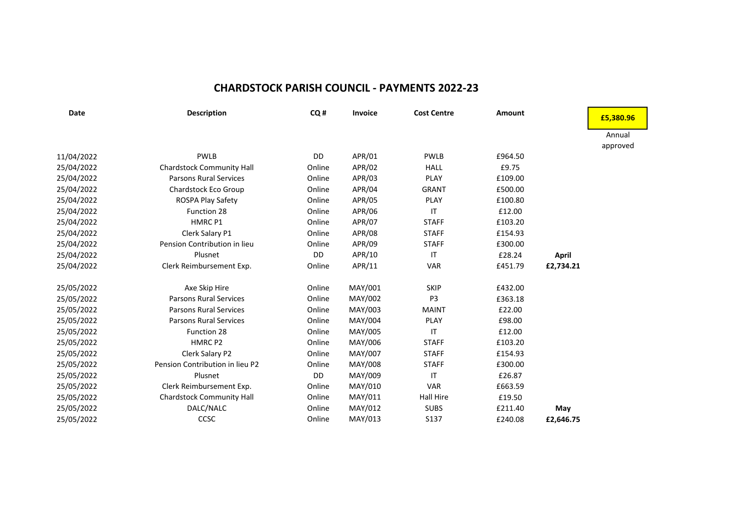## **CHARDSTOCK PARISH COUNCIL - PAYMENTS 2022-23**

| <b>Date</b> | <b>Description</b>               | CQ#    | <b>Invoice</b> | <b>Cost Centre</b> | Amount  |              | £5,380.96 |
|-------------|----------------------------------|--------|----------------|--------------------|---------|--------------|-----------|
|             |                                  |        |                |                    |         |              | Annual    |
|             |                                  |        |                |                    |         |              | approved  |
| 11/04/2022  | <b>PWLB</b>                      | DD     | APR/01         | <b>PWLB</b>        | £964.50 |              |           |
| 25/04/2022  | <b>Chardstock Community Hall</b> | Online | APR/02         | <b>HALL</b>        | £9.75   |              |           |
| 25/04/2022  | <b>Parsons Rural Services</b>    | Online | APR/03         | <b>PLAY</b>        | £109.00 |              |           |
| 25/04/2022  | Chardstock Eco Group             | Online | APR/04         | <b>GRANT</b>       | £500.00 |              |           |
| 25/04/2022  | ROSPA Play Safety                | Online | APR/05         | <b>PLAY</b>        | £100.80 |              |           |
| 25/04/2022  | Function 28                      | Online | APR/06         | ΙT                 | £12.00  |              |           |
| 25/04/2022  | HMRC P1                          | Online | APR/07         | <b>STAFF</b>       | £103.20 |              |           |
| 25/04/2022  | Clerk Salary P1                  | Online | APR/08         | <b>STAFF</b>       | £154.93 |              |           |
| 25/04/2022  | Pension Contribution in lieu     | Online | APR/09         | <b>STAFF</b>       | £300.00 |              |           |
| 25/04/2022  | Plusnet                          | DD     | APR/10         | $\mathsf{I}$       | £28.24  | <b>April</b> |           |
| 25/04/2022  | Clerk Reimbursement Exp.         | Online | APR/11         | <b>VAR</b>         | £451.79 | £2,734.21    |           |
| 25/05/2022  | Axe Skip Hire                    | Online | MAY/001        | <b>SKIP</b>        | £432.00 |              |           |
| 25/05/2022  | <b>Parsons Rural Services</b>    | Online | MAY/002        | P <sub>3</sub>     | £363.18 |              |           |
| 25/05/2022  | <b>Parsons Rural Services</b>    | Online | MAY/003        | <b>MAINT</b>       | £22.00  |              |           |
| 25/05/2022  | <b>Parsons Rural Services</b>    | Online | MAY/004        | <b>PLAY</b>        | £98.00  |              |           |
| 25/05/2022  | Function 28                      | Online | MAY/005        | IT                 | £12.00  |              |           |
| 25/05/2022  | HMRC P <sub>2</sub>              | Online | MAY/006        | <b>STAFF</b>       | £103.20 |              |           |
| 25/05/2022  | Clerk Salary P2                  | Online | MAY/007        | <b>STAFF</b>       | £154.93 |              |           |
| 25/05/2022  | Pension Contribution in lieu P2  | Online | MAY/008        | <b>STAFF</b>       | £300.00 |              |           |
| 25/05/2022  | Plusnet                          | DD     | MAY/009        | IT                 | £26.87  |              |           |
| 25/05/2022  | Clerk Reimbursement Exp.         | Online | MAY/010        | <b>VAR</b>         | £663.59 |              |           |
| 25/05/2022  | <b>Chardstock Community Hall</b> | Online | MAY/011        | Hall Hire          | £19.50  |              |           |
| 25/05/2022  | DALC/NALC                        | Online | MAY/012        | <b>SUBS</b>        | £211.40 | May          |           |
| 25/05/2022  | CCSC                             | Online | MAY/013        | S137               | £240.08 | £2,646.75    |           |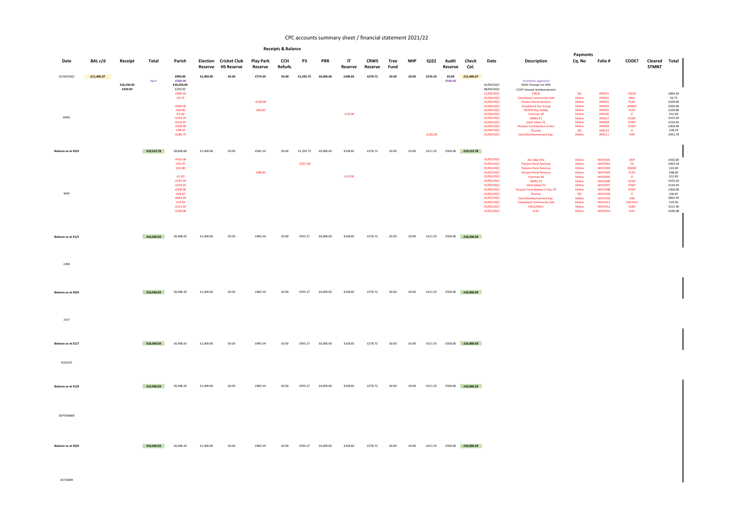| Date                | BAL c/d    | Receipt               | Total      | Parish                                                                                                                                                    | Election<br>Reserve | <b>Cricket Club</b><br><b>HS Reserve</b> | <b>Play Park</b><br>Reserve        | <b>CCH</b><br>Refurb. | P3         | <b>PRR</b> | IT<br>Reserve        | <b>CRWS</b><br>Reserve | Tree<br>Fund | <b>NHP</b> | QJ22       | Audit<br>Reserve | Check<br>Col.             | Date                                                                                                                                                   | <b>Description</b>                                                                                                                                                                                                                                                                                                  | Payments<br>Cq. No                                                                        | Folio #                                                                                                                                 | CODE?                                                                                                                                    | Cleared Total<br><b>STMNT</b> |                                                                                              |
|---------------------|------------|-----------------------|------------|-----------------------------------------------------------------------------------------------------------------------------------------------------------|---------------------|------------------------------------------|------------------------------------|-----------------------|------------|------------|----------------------|------------------------|--------------|------------|------------|------------------|---------------------------|--------------------------------------------------------------------------------------------------------------------------------------------------------|---------------------------------------------------------------------------------------------------------------------------------------------------------------------------------------------------------------------------------------------------------------------------------------------------------------------|-------------------------------------------------------------------------------------------|-----------------------------------------------------------------------------------------------------------------------------------------|------------------------------------------------------------------------------------------------------------------------------------------|-------------------------------|----------------------------------------------------------------------------------------------|
| 01/04/2022<br>APRIL | £11,466.07 | £10,250.00<br>£230.92 | April:     | £994.89<br>$-£500.00$<br>£10,250.00<br>£230.92<br>$-£964.50$<br>$-£9.75$<br>$-£500.00$<br>$-£16.80$<br>$-E2.00$<br>$-£103.20$<br>$-£154.93$<br>$-£300.00$ | £1,400.00           | £0.00                                    | £774.34<br>$-£109.00$<br>$-£84.00$ | £0.00                 | £1,292.75  | £6,000.00  | £348.82<br>$-£10.00$ | £278.72                | £0.00        | £0.00      | £376.55    | £0.00<br>£500.00 | £11,466.07                | 01/04/2022<br>08/04/2022<br>11/04/2022<br>25/04/2022<br>25/04/2022<br>25/04/2022<br>25/04/2022<br>25/04/2022<br>25/04/2022<br>25/04/2022<br>25/04/2022 | Virements approved<br>EDDC Precept 1st 50%<br>CCHT Interest reimbursement<br><b>PWLB</b><br><b>Chardstock Community Hall</b><br><b>Parsons Rural Services</b><br><b>Chardstock Eco Group</b><br><b>ROSPA Play Safety</b><br><b>Function 28</b><br><b>HMRC P1</b><br>Clerk Salary P1<br>Pension Contribution in lieu | <b>DD</b><br>Online<br>Online<br>Online<br>Online<br>Online<br>Online<br>Online<br>Online | APR/01<br><b>APR/02</b><br><b>APR/03</b><br>APR/04<br><b>APR/05</b><br><b>APR/06</b><br><b>APR/07</b><br><b>APR/08</b><br><b>APR/09</b> | <b>PWLB</b><br><b>HALL</b><br><b>PLAY</b><br><b>GRANT</b><br><b>PLAY</b><br>$\mathbf{H}$<br><b>STAFF</b><br><b>STAFF</b><br><b>STAFF</b> |                               | £964.50<br>£9.75<br>£109.00<br>£500.00<br>£100.80<br>£12.00<br>£103.20<br>£154.93<br>£300.00 |
|                     |            |                       |            | $-£28.24$<br>$-£286.79$                                                                                                                                   |                     |                                          |                                    |                       |            |            |                      |                        |              |            | $-£165.00$ |                  |                           | 25/04/2022<br>25/04/2022                                                                                                                               | Plusnet<br><b>Clerk Reimbursement Exp.</b>                                                                                                                                                                                                                                                                          | <b>DD</b><br>Online                                                                       | APR/10<br>APR/11                                                                                                                        | $\mathbf{H}$<br><b>VAR</b>                                                                                                               |                               | £28.24<br>£451.79                                                                            |
| Balance as at 30/4  |            |                       | £19,212.78 | £8,609.60<br>$-E432.00$                                                                                                                                   | £1,400.00           | £0.00                                    | £581.34                            | £0.00                 | £1,292.75  | £6,000.00  | £338.82              | £278.72                | £0.00        | £0.00      | £211.55    |                  | £500.00 <b>£19,212.78</b> | 25/05/2022                                                                                                                                             | Axe Skip Hire                                                                                                                                                                                                                                                                                                       | Online                                                                                    | <b>MAY/001</b>                                                                                                                          | <b>SKIP</b>                                                                                                                              |                               | £432.00                                                                                      |
|                     |            |                       |            | $-E25.70$<br>$-E22.00$<br>$-E2.00$                                                                                                                        |                     |                                          | $-£98.00$                          |                       | $-£337.48$ |            | $-£10.00$            |                        |              |            |            |                  |                           | 25/05/2022<br>25/05/2022<br>25/05/2022<br>25/05/2022                                                                                                   | <b>Parsons Rural Services</b><br><b>Parsons Rural Services</b><br><b>Parsons Rural Services</b><br><b>Function 28</b>                                                                                                                                                                                               | Online<br>Online<br>Online<br>Online                                                      | <b>MAY/002</b><br><b>MAY/003</b><br><b>MAY/004</b><br><b>MAY/005</b>                                                                    | <b>P3</b><br><b>MAINT</b><br><b>PLAY</b><br>$\mathbf{H}$                                                                                 |                               | £363.18<br>£22.00<br>£98.00<br>£12.00                                                        |
| MAY                 |            |                       |            | $-£103.20$<br>$-£154.93$<br>$-£300.00$<br>$-£26.87$<br>$-£663.59$<br>$-£19.50$<br>$-E211.40$<br>$-£240.08$                                                |                     |                                          |                                    |                       |            |            |                      |                        |              |            |            |                  |                           | 25/05/2022<br>25/05/2022<br>25/05/2022<br>25/05/2022<br>25/05/2022<br>25/05/2022<br>25/05/2022<br>25/05/2022                                           | <b>HMRCP2</b><br><b>Clerk Salary P2</b><br>Pension Contribution in lieu P2<br>Plusnet<br><b>Clerk Reimbursement Exp.</b><br><b>Chardstock Community Hall</b><br>DALC/NALC<br><b>CCSC</b>                                                                                                                            | Online<br>Online<br>Online<br><b>DD</b><br>Online<br>Online<br>Online<br>Online           | <b>MAY/006</b><br><b>MAY/007</b><br><b>MAY/008</b><br><b>MAY/009</b><br><b>MAY/010</b><br>MAY/011<br><b>MAY/012</b><br><b>MAY/014</b>   | <b>STAFF</b><br><b>STAFF</b><br><b>STAFF</b><br>$\mathbf{H}$<br><b>VAR</b><br><b>Hall Hire</b><br><b>SUBS</b><br><b>S137</b>             |                               | £103.20<br>£154.93<br>£300.00<br>£26.87<br>£663.59<br>£19.50<br>£211.40<br>£240.08           |
| Balance as at 31/5  |            |                       | £16,566.03 | £6,408.33                                                                                                                                                 | £1,400.00           | £0.00                                    | £483.34                            | £0.00                 | £955.27    | £6,000.00  | £328.82              | £278.72                | £0.00        | £0.00      | £211.55    |                  | £500.00 £16,566.03        |                                                                                                                                                        |                                                                                                                                                                                                                                                                                                                     |                                                                                           |                                                                                                                                         |                                                                                                                                          |                               |                                                                                              |
| JUNE                |            |                       |            |                                                                                                                                                           |                     |                                          |                                    |                       |            |            |                      |                        |              |            |            |                  |                           |                                                                                                                                                        |                                                                                                                                                                                                                                                                                                                     |                                                                                           |                                                                                                                                         |                                                                                                                                          |                               |                                                                                              |
| Balance as at 30/6  |            |                       | £16,566.03 | £6,408.33                                                                                                                                                 | £1,400.00           | £0.00                                    | £483.34                            | £0.00                 | £955.27    | £6,000.00  | £328.82              | £278.72                | £0.00        | £0.00      | £211.55    |                  | £500.00 £16,066.03        |                                                                                                                                                        |                                                                                                                                                                                                                                                                                                                     |                                                                                           |                                                                                                                                         |                                                                                                                                          |                               |                                                                                              |
| JULY                |            |                       |            |                                                                                                                                                           |                     |                                          |                                    |                       |            |            |                      |                        |              |            |            |                  |                           |                                                                                                                                                        |                                                                                                                                                                                                                                                                                                                     |                                                                                           |                                                                                                                                         |                                                                                                                                          |                               |                                                                                              |
| Balance as at 31/7  |            |                       | £16,566.03 | £6,408.33                                                                                                                                                 | £1,400.00           | £0.00                                    | £483.34                            | £0.00                 | £955.27    | £6,000.00  | £328.82              | £278.72                | £0.00        | £0.00      | £211.55    |                  | £500.00 £16,066.03        |                                                                                                                                                        |                                                                                                                                                                                                                                                                                                                     |                                                                                           |                                                                                                                                         |                                                                                                                                          |                               |                                                                                              |
| AUGUST              |            |                       |            |                                                                                                                                                           |                     |                                          |                                    |                       |            |            |                      |                        |              |            |            |                  |                           |                                                                                                                                                        |                                                                                                                                                                                                                                                                                                                     |                                                                                           |                                                                                                                                         |                                                                                                                                          |                               |                                                                                              |
| Balance as at 31/8  |            |                       | £16,566.03 | £6,408.33                                                                                                                                                 | £1,400.00           | £0.00                                    | £483.34                            | £0.00                 | £955.27    | £6,000.00  | £328.82              | £278.72                | £0.00        | £0.00      | £211.55    |                  | £500.00 £16,066.03        |                                                                                                                                                        |                                                                                                                                                                                                                                                                                                                     |                                                                                           |                                                                                                                                         |                                                                                                                                          |                               |                                                                                              |
| SEPTEMBER           |            |                       |            |                                                                                                                                                           |                     |                                          |                                    |                       |            |            |                      |                        |              |            |            |                  |                           |                                                                                                                                                        |                                                                                                                                                                                                                                                                                                                     |                                                                                           |                                                                                                                                         |                                                                                                                                          |                               |                                                                                              |
| Balance as at 30/9  |            |                       | £16,566.03 | £6,408.33                                                                                                                                                 | £1,400.00           | £0.00                                    | £483.34                            | £0.00                 | £955.27    | £6,000.00  | £328.82              | £278.72                | £0.00        | £0.00      | £211.55    |                  | £500.00 £16,066.03        |                                                                                                                                                        |                                                                                                                                                                                                                                                                                                                     |                                                                                           |                                                                                                                                         |                                                                                                                                          |                               |                                                                                              |

#### CPC accounts summary sheet / financial statement 2021/22

#### **Receipts & Balance**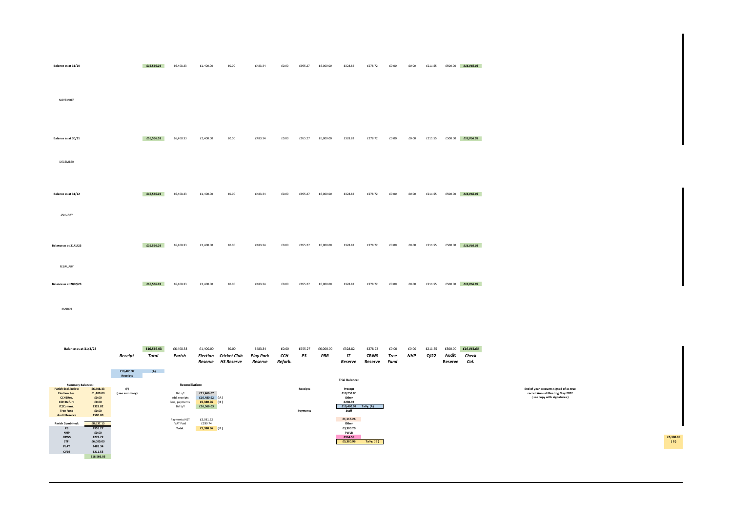| Balance as at 31/10                                                                                                                                                                                                                                       |                                  | £16,566.03                 | £6,408.33                                                                | £1,400.00                                                     | £0.00                                                       | £483.34                                | £0.00                   | £955.27              | £6,000.00        | £328.82                                                                                              | £278.72                           | £0.00                 | £0.00        | £211.55         | £500.00          | £16,066.03                                 |                                                                                                        |                 |
|-----------------------------------------------------------------------------------------------------------------------------------------------------------------------------------------------------------------------------------------------------------|----------------------------------|----------------------------|--------------------------------------------------------------------------|---------------------------------------------------------------|-------------------------------------------------------------|----------------------------------------|-------------------------|----------------------|------------------|------------------------------------------------------------------------------------------------------|-----------------------------------|-----------------------|--------------|-----------------|------------------|--------------------------------------------|--------------------------------------------------------------------------------------------------------|-----------------|
| NOVEMBER                                                                                                                                                                                                                                                  |                                  |                            |                                                                          |                                                               |                                                             |                                        |                         |                      |                  |                                                                                                      |                                   |                       |              |                 |                  |                                            |                                                                                                        |                 |
| Balance as at 30/11<br>DECEMBER                                                                                                                                                                                                                           |                                  | £16,566.03                 | £6,408.33                                                                | £1,400.00                                                     | £0.00                                                       | £483.34                                | £0.00                   | £955.27              | £6,000.00        | £328.82                                                                                              | £278.72                           | £0.00                 | £0.00        | £211.55         |                  | £500.00 £16,066.03                         |                                                                                                        |                 |
| Balance as at 31/12<br>JANUARY                                                                                                                                                                                                                            |                                  | £16,566.03                 | £6,408.33                                                                | £1,400.00                                                     | £0.00                                                       | £483.34                                | £0.00                   | £955.27              | £6,000.00        | £328.82                                                                                              | £278.72                           | £0.00                 | £0.00        | £211.55         |                  | £500.00 £16,066.03                         |                                                                                                        |                 |
| Balance as at 31/1/23                                                                                                                                                                                                                                     |                                  | £16,566.03                 | £6,408.33                                                                | £1,400.00                                                     | £0.00                                                       | £483.34                                | £0.00                   | £955.27              | £6,000.00        | £328.82                                                                                              | £278.72                           | £0.00                 | £0.00        | £211.55         |                  | £500.00 £16,066.03                         |                                                                                                        |                 |
| FEBRUARY<br>Balance as at 28/2/23                                                                                                                                                                                                                         |                                  | £16,566.03                 | £6,408.33                                                                | £1,400.00                                                     | £0.00                                                       | £483.34                                | £0.00                   | £955.27              | £6,000.00        | £328.82                                                                                              | £278.72                           | £0.00                 | £0.00        | £211.55         |                  | £500.00 £16,066.03                         |                                                                                                        |                 |
| MARCH                                                                                                                                                                                                                                                     |                                  |                            |                                                                          |                                                               |                                                             |                                        |                         |                      |                  |                                                                                                      |                                   |                       |              |                 |                  |                                            |                                                                                                        |                 |
| Balance as at 31/3/23                                                                                                                                                                                                                                     | Receipt<br>£10,480.92            | £16,566.03<br>Total<br>(A) | £6,408.33<br>Parish                                                      | £1,400.00                                                     | £0.00<br><b>Election Cricket Club</b><br>Reserve HS Reserve | £483.34<br><b>Play Park</b><br>Reserve | £0.00<br>ССН<br>Refurb. | £955.27<br>P3        | £6,000.00<br>PRR | £328.82<br>$\mathsf{I}$<br>Reserve                                                                   | £278.72<br><b>CRWS</b><br>Reserve | £0.00<br>Tree<br>Fund | £0.00<br>NHP | £211.55<br>QJ22 | Audit<br>Reserve | £500.00 <b>£16,066.03</b><br>Check<br>Col. |                                                                                                        |                 |
| <b>Summary Balances:</b><br>£6,408.33<br><b>Parish Excl. below</b><br>£1,400.00<br><b>Election Res.</b><br><b>CCHSRes.</b><br>£0.00<br><b>CCH Refurb</b><br>£0.00<br>IT/Comms.<br>£328.82<br>£0.00<br><b>Tree Fund</b><br>£500.00<br><b>Audit Reserve</b> | Receipts<br>(F)<br>(see summary) |                            | Reconciliation:<br>Bal c/f<br>add, receipts<br>less, payments<br>Bal b/f | £11,466.07<br>£10,480.92 (A)<br>$£5,380.96$ (B)<br>£16,566.03 |                                                             |                                        |                         | Receipts<br>Payments |                  | <b>Trial Balance:</b><br>Precept<br>£10,250.00<br>Other<br>£230.92<br>£10,480.92 Tally: (A)<br>Staff |                                   |                       |              |                 |                  |                                            | End of year accounts signed of as true<br>record Annual Meeting May 2022<br>(see copy with signatures) |                 |
| Parish Combined:<br>£8,637.15<br>£955.27<br>P3<br><b>NHP</b><br>£0.00<br><b>CRWS</b><br>£278.72<br><b>STFI</b><br>£6,000.00<br>PLAY<br>£483.34<br><b>CV19</b><br>£211.55<br>£16,566.03                                                                    |                                  |                            | Payments NET<br>VAT Paid<br>Total:                                       | £5,081.22<br>£299.74<br>£5,380.96 (B)                         |                                                             |                                        |                         |                      |                  | £1,116.26<br>Other<br>£3,300.20<br><b>PWLB</b><br>£964.50<br>£5,380.96                               | Tally: (B)                        |                       |              |                 |                  |                                            |                                                                                                        | £5,380.9<br>(B) |

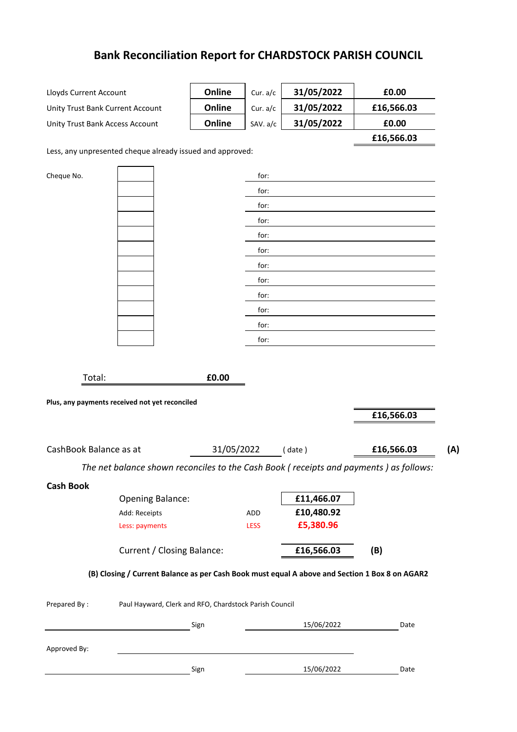# **Bank Reconciliation Report for CHARDSTOCK PARISH COUNCIL**

| Lloyds Current Account           |                                                                                                | Online     | Cur. a/c     | 31/05/2022 | £0.00                                                                                 |
|----------------------------------|------------------------------------------------------------------------------------------------|------------|--------------|------------|---------------------------------------------------------------------------------------|
| Unity Trust Bank Current Account |                                                                                                | Online     | Cur. a/c     | 31/05/2022 | £16,566.03                                                                            |
| Unity Trust Bank Access Account  |                                                                                                | Online     | SAV. a/c     | 31/05/2022 | £0.00                                                                                 |
|                                  |                                                                                                |            |              |            | £16,566.03                                                                            |
|                                  | Less, any unpresented cheque already issued and approved:                                      |            |              |            |                                                                                       |
|                                  |                                                                                                |            |              |            |                                                                                       |
| Cheque No.                       |                                                                                                |            | for:<br>for: |            |                                                                                       |
|                                  |                                                                                                |            | for:         |            |                                                                                       |
|                                  |                                                                                                |            | for:         |            |                                                                                       |
|                                  |                                                                                                |            | for:         |            |                                                                                       |
|                                  |                                                                                                |            | for:         |            |                                                                                       |
|                                  |                                                                                                |            | for:         |            |                                                                                       |
|                                  |                                                                                                |            | for:         |            |                                                                                       |
|                                  |                                                                                                |            | for:         |            |                                                                                       |
|                                  |                                                                                                |            | for:         |            |                                                                                       |
|                                  |                                                                                                |            | for:         |            |                                                                                       |
|                                  |                                                                                                |            | for:         |            |                                                                                       |
|                                  |                                                                                                |            |              |            |                                                                                       |
| Total:                           |                                                                                                |            |              |            |                                                                                       |
|                                  |                                                                                                |            |              |            |                                                                                       |
|                                  |                                                                                                | £0.00      |              |            |                                                                                       |
|                                  | Plus, any payments received not yet reconciled                                                 |            |              |            |                                                                                       |
|                                  |                                                                                                |            |              |            | £16,566.03                                                                            |
|                                  |                                                                                                |            |              |            |                                                                                       |
| CashBook Balance as at           |                                                                                                | 31/05/2022 |              | (date)     | £16,566.03<br>(A)                                                                     |
|                                  |                                                                                                |            |              |            | The net balance shown reconciles to the Cash Book (receipts and payments) as follows: |
| <b>Cash Book</b>                 |                                                                                                |            |              |            |                                                                                       |
|                                  | <b>Opening Balance:</b>                                                                        |            |              | £11,466.07 |                                                                                       |
|                                  | Add: Receipts                                                                                  |            | ADD          | £10,480.92 |                                                                                       |
|                                  | Less: payments                                                                                 |            | <b>LESS</b>  | £5,380.96  |                                                                                       |
|                                  |                                                                                                |            |              |            |                                                                                       |
|                                  | <b>Current / Closing Balance:</b>                                                              |            |              | £16,566.03 | (B)                                                                                   |
|                                  | (B) Closing / Current Balance as per Cash Book must equal A above and Section 1 Box 8 on AGAR2 |            |              |            |                                                                                       |
|                                  |                                                                                                |            |              |            |                                                                                       |
| Prepared By:                     | Paul Hayward, Clerk and RFO, Chardstock Parish Council                                         |            |              |            |                                                                                       |
|                                  |                                                                                                | Sign       |              | 15/06/2022 | Date                                                                                  |
|                                  |                                                                                                |            |              |            |                                                                                       |
| Approved By:                     |                                                                                                | Sign       |              | 15/06/2022 | Date                                                                                  |